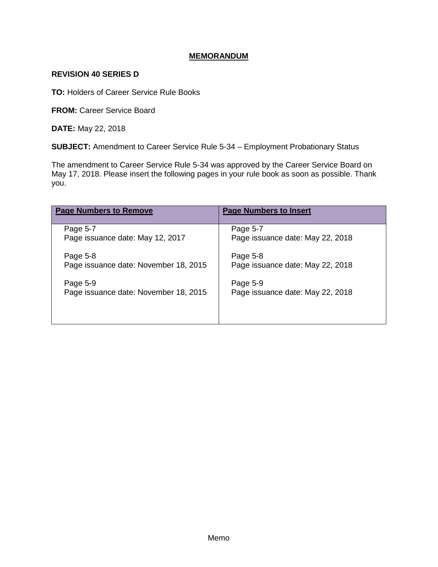## **MEMORANDUM**

## **REVISION 40 SERIES D**

**TO:** Holders of Career Service Rule Books

**FROM:** Career Service Board

**DATE:** May 22, 2018

**SUBJECT:** Amendment to Career Service Rule 5-34 – Employment Probationary Status

The amendment to Career Service Rule 5-34 was approved by the Career Service Board on May 17, 2018. Please insert the following pages in your rule book as soon as possible. Thank you.

| <b>Page Numbers to Remove</b>         | <b>Page Numbers to Insert</b>    |
|---------------------------------------|----------------------------------|
| Page 5-7                              | Page 5-7                         |
| Page issuance date: May 12, 2017      | Page issuance date: May 22, 2018 |
| Page 5-8                              | Page 5-8                         |
| Page issuance date: November 18, 2015 | Page issuance date: May 22, 2018 |
| Page 5-9                              | Page 5-9                         |
| Page issuance date: November 18, 2015 | Page issuance date: May 22, 2018 |
|                                       |                                  |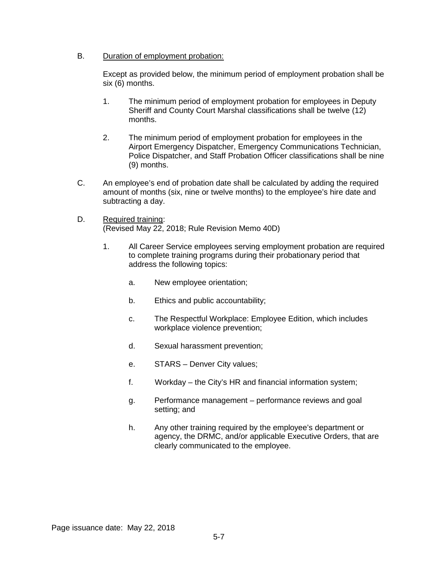B. Duration of employment probation:

Except as provided below, the minimum period of employment probation shall be six (6) months.

- 1. The minimum period of employment probation for employees in Deputy Sheriff and County Court Marshal classifications shall be twelve (12) months.
- 2. The minimum period of employment probation for employees in the Airport Emergency Dispatcher, Emergency Communications Technician, Police Dispatcher, and Staff Probation Officer classifications shall be nine (9) months.
- C. An employee's end of probation date shall be calculated by adding the required amount of months (six, nine or twelve months) to the employee's hire date and subtracting a day.
- D. Required training: (Revised May 22, 2018; Rule Revision Memo 40D)
	- 1. All Career Service employees serving employment probation are required to complete training programs during their probationary period that address the following topics:
		- a. New employee orientation;
		- b. Ethics and public accountability;
		- c. The Respectful Workplace: Employee Edition, which includes workplace violence prevention;
		- d. Sexual harassment prevention;
		- e. STARS Denver City values;
		- f. Workday the City's HR and financial information system;
		- g. Performance management performance reviews and goal setting; and
		- h. Any other training required by the employee's department or agency, the DRMC, and/or applicable Executive Orders, that are clearly communicated to the employee.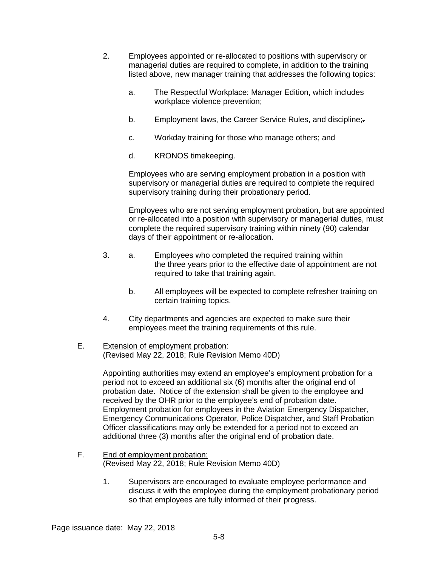- 2. Employees appointed or re-allocated to positions with supervisory or managerial duties are required to complete, in addition to the training listed above, new manager training that addresses the following topics:
	- a. The Respectful Workplace: Manager Edition, which includes workplace violence prevention;
	- b. Employment laws, the Career Service Rules, and discipline;-
	- c. Workday training for those who manage others; and
	- d. KRONOS timekeeping.

Employees who are serving employment probation in a position with supervisory or managerial duties are required to complete the required supervisory training during their probationary period.

Employees who are not serving employment probation, but are appointed or re-allocated into a position with supervisory or managerial duties, must complete the required supervisory training within ninety (90) calendar days of their appointment or re-allocation.

- 3. a. Employees who completed the required training within the three years prior to the effective date of appointment are not required to take that training again.
	- b. All employees will be expected to complete refresher training on certain training topics.
- 4. City departments and agencies are expected to make sure their employees meet the training requirements of this rule.

## E. Extension of employment probation: (Revised May 22, 2018; Rule Revision Memo 40D)

Appointing authorities may extend an employee's employment probation for a period not to exceed an additional six (6) months after the original end of probation date. Notice of the extension shall be given to the employee and received by the OHR prior to the employee's end of probation date. Employment probation for employees in the Aviation Emergency Dispatcher, Emergency Communications Operator, Police Dispatcher, and Staff Probation Officer classifications may only be extended for a period not to exceed an additional three (3) months after the original end of probation date.

- F. End of employment probation: (Revised May 22, 2018; Rule Revision Memo 40D)
	- 1. Supervisors are encouraged to evaluate employee performance and discuss it with the employee during the employment probationary period so that employees are fully informed of their progress.